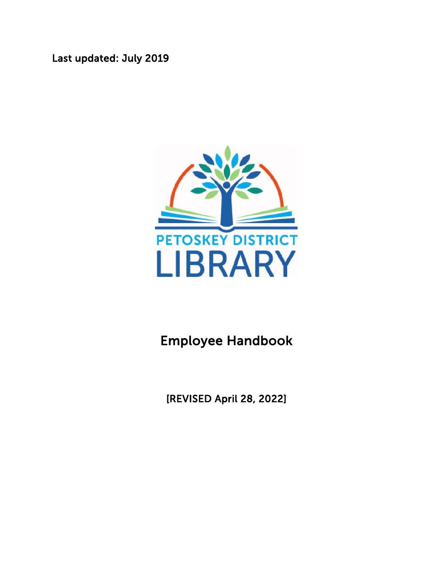Last updated: July 2019



### Employee Handbook

[REVISED April 28, 2022]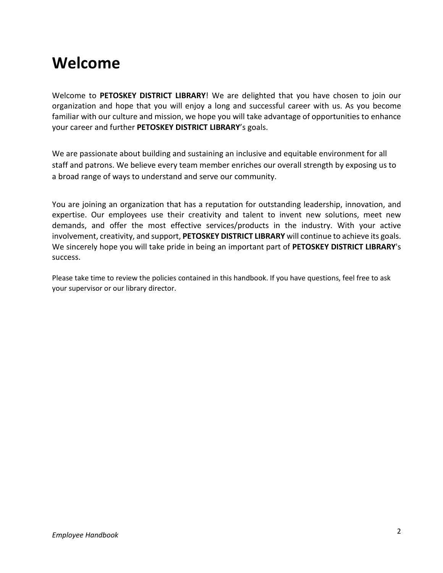### <span id="page-1-0"></span>**Welcome**

Welcome to **PETOSKEY DISTRICT LIBRARY**! We are delighted that you have chosen to join our organization and hope that you will enjoy a long and successful career with us. As you become familiar with our culture and mission, we hope you will take advantage of opportunities to enhance your career and further **PETOSKEY DISTRICT LIBRARY**'s goals.

We are passionate about building and sustaining an inclusive and equitable environment for all staff and patrons. We believe every team member enriches our overall strength by exposing us to a broad range of ways to understand and serve our community.

You are joining an organization that has a reputation for outstanding leadership, innovation, and expertise. Our employees use their creativity and talent to invent new solutions, meet new demands, and offer the most effective services/products in the industry. With your active involvement, creativity, and support, **PETOSKEY DISTRICT LIBRARY** will continue to achieve its goals. We sincerely hope you will take pride in being an important part of **PETOSKEY DISTRICT LIBRARY**'s success.

Please take time to review the policies contained in this handbook. If you have questions, feel free to ask your supervisor or our library director.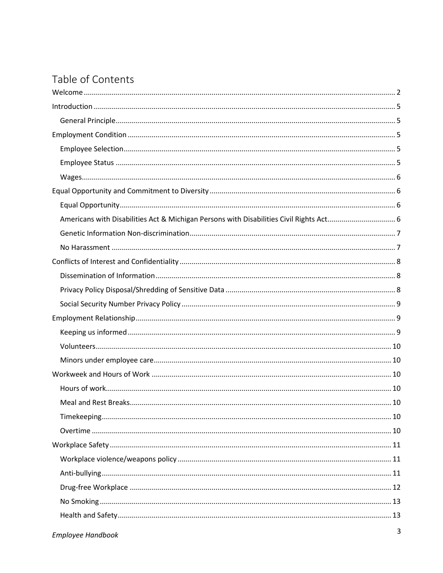### Table of Contents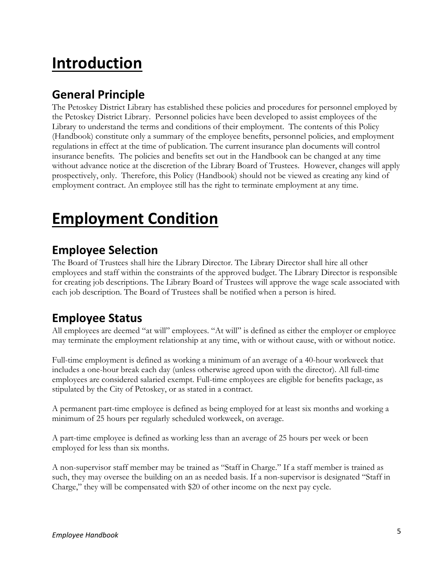# <span id="page-4-0"></span>**Introduction**

#### <span id="page-4-1"></span>**General Principle**

The Petoskey District Library has established these policies and procedures for personnel employed by the Petoskey District Library. Personnel policies have been developed to assist employees of the Library to understand the terms and conditions of their employment. The contents of this Policy (Handbook) constitute only a summary of the employee benefits, personnel policies, and employment regulations in effect at the time of publication. The current insurance plan documents will control insurance benefits. The policies and benefits set out in the Handbook can be changed at any time without advance notice at the discretion of the Library Board of Trustees. However, changes will apply prospectively, only. Therefore, this Policy (Handbook) should not be viewed as creating any kind of employment contract. An employee still has the right to terminate employment at any time.

# <span id="page-4-2"></span>**Employment Condition**

#### <span id="page-4-3"></span>**Employee Selection**

The Board of Trustees shall hire the Library Director. The Library Director shall hire all other employees and staff within the constraints of the approved budget. The Library Director is responsible for creating job descriptions. The Library Board of Trustees will approve the wage scale associated with each job description. The Board of Trustees shall be notified when a person is hired.

#### <span id="page-4-4"></span>**Employee Status**

All employees are deemed "at will" employees. "At will" is defined as either the employer or employee may terminate the employment relationship at any time, with or without cause, with or without notice.

Full-time employment is defined as working a minimum of an average of a 40-hour workweek that includes a one-hour break each day (unless otherwise agreed upon with the director). All full-time employees are considered salaried exempt. Full-time employees are eligible for benefits package, as stipulated by the City of Petoskey, or as stated in a contract.

A permanent part-time employee is defined as being employed for at least six months and working a minimum of 25 hours per regularly scheduled workweek, on average.

A part-time employee is defined as working less than an average of 25 hours per week or been employed for less than six months.

A non-supervisor staff member may be trained as "Staff in Charge." If a staff member is trained as such, they may oversee the building on an as needed basis. If a non-supervisor is designated "Staff in Charge," they will be compensated with \$20 of other income on the next pay cycle.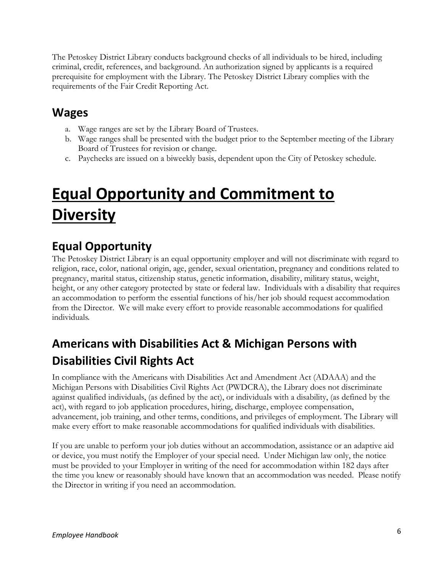The Petoskey District Library conducts background checks of all individuals to be hired, including criminal, credit, references, and background. An authorization signed by applicants is a required prerequisite for employment with the Library. The Petoskey District Library complies with the requirements of the Fair Credit Reporting Act.

#### <span id="page-5-0"></span>**Wages**

- a. Wage ranges are set by the Library Board of Trustees.
- b. Wage ranges shall be presented with the budget prior to the September meeting of the Library Board of Trustees for revision or change.
- c. Paychecks are issued on a biweekly basis, dependent upon the City of Petoskey schedule.

# <span id="page-5-1"></span>**Equal Opportunity and Commitment to Diversity**

### <span id="page-5-2"></span>**Equal Opportunity**

The Petoskey District Library is an equal opportunity employer and will not discriminate with regard to religion, race, color, national origin, age, gender, sexual orientation, pregnancy and conditions related to pregnancy, marital status, citizenship status, genetic information, disability, military status, weight, height, or any other category protected by state or federal law. Individuals with a disability that requires an accommodation to perform the essential functions of his/her job should request accommodation from the Director. We will make every effort to provide reasonable accommodations for qualified individuals.

### <span id="page-5-3"></span>**Americans with Disabilities Act & Michigan Persons with Disabilities Civil Rights Act**

In compliance with the Americans with Disabilities Act and Amendment Act (ADAAA) and the Michigan Persons with Disabilities Civil Rights Act (PWDCRA), the Library does not discriminate against qualified individuals, (as defined by the act), or individuals with a disability, (as defined by the act), with regard to job application procedures, hiring, discharge, employee compensation, advancement, job training, and other terms, conditions, and privileges of employment. The Library will make every effort to make reasonable accommodations for qualified individuals with disabilities.

If you are unable to perform your job duties without an accommodation, assistance or an adaptive aid or device, you must notify the Employer of your special need. Under Michigan law only, the notice must be provided to your Employer in writing of the need for accommodation within 182 days after the time you knew or reasonably should have known that an accommodation was needed. Please notify the Director in writing if you need an accommodation.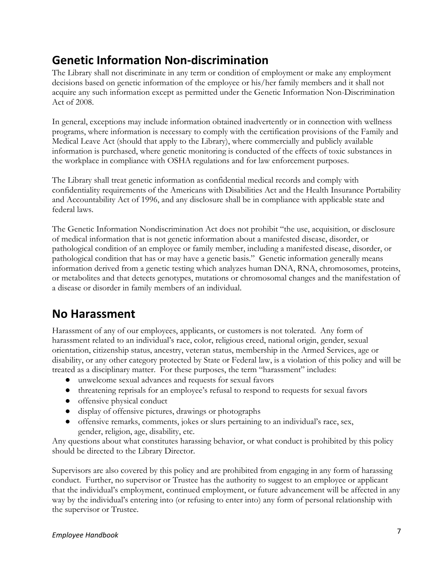#### <span id="page-6-0"></span>**Genetic Information Non-discrimination**

The Library shall not discriminate in any term or condition of employment or make any employment decisions based on genetic information of the employee or his/her family members and it shall not acquire any such information except as permitted under the Genetic Information Non-Discrimination Act of 2008.

In general, exceptions may include information obtained inadvertently or in connection with wellness programs, where information is necessary to comply with the certification provisions of the Family and Medical Leave Act (should that apply to the Library), where commercially and publicly available information is purchased, where genetic monitoring is conducted of the effects of toxic substances in the workplace in compliance with OSHA regulations and for law enforcement purposes.

The Library shall treat genetic information as confidential medical records and comply with confidentiality requirements of the Americans with Disabilities Act and the Health Insurance Portability and Accountability Act of 1996, and any disclosure shall be in compliance with applicable state and federal laws.

The Genetic Information Nondiscrimination Act does not prohibit "the use, acquisition, or disclosure of medical information that is not genetic information about a manifested disease, disorder, or pathological condition of an employee or family member, including a manifested disease, disorder, or pathological condition that has or may have a genetic basis." Genetic information generally means information derived from a genetic testing which analyzes human DNA, RNA, chromosomes, proteins, or metabolites and that detects genotypes, mutations or chromosomal changes and the manifestation of a disease or disorder in family members of an individual.

#### <span id="page-6-1"></span>**No Harassment**

Harassment of any of our employees, applicants, or customers is not tolerated. Any form of harassment related to an individual's race, color, religious creed, national origin, gender, sexual orientation, citizenship status, ancestry, veteran status, membership in the Armed Services, age or disability, or any other category protected by State or Federal law, is a violation of this policy and will be treated as a disciplinary matter. For these purposes, the term "harassment" includes:

- unwelcome sexual advances and requests for sexual favors
- threatening reprisals for an employee's refusal to respond to requests for sexual favors
- offensive physical conduct
- display of offensive pictures, drawings or photographs
- offensive remarks, comments, jokes or slurs pertaining to an individual's race, sex, gender, religion, age, disability, etc.

Any questions about what constitutes harassing behavior, or what conduct is prohibited by this policy should be directed to the Library Director.

Supervisors are also covered by this policy and are prohibited from engaging in any form of harassing conduct. Further, no supervisor or Trustee has the authority to suggest to an employee or applicant that the individual's employment, continued employment, or future advancement will be affected in any way by the individual's entering into (or refusing to enter into) any form of personal relationship with the supervisor or Trustee.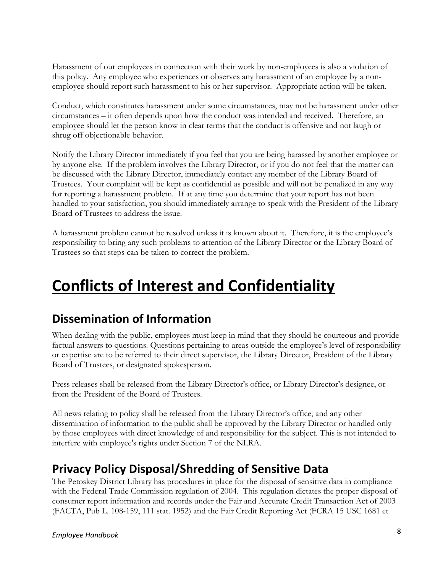Harassment of our employees in connection with their work by non-employees is also a violation of this policy. Any employee who experiences or observes any harassment of an employee by a nonemployee should report such harassment to his or her supervisor. Appropriate action will be taken.

Conduct, which constitutes harassment under some circumstances, may not be harassment under other circumstances – it often depends upon how the conduct was intended and received. Therefore, an employee should let the person know in clear terms that the conduct is offensive and not laugh or shrug off objectionable behavior.

Notify the Library Director immediately if you feel that you are being harassed by another employee or by anyone else. If the problem involves the Library Director, or if you do not feel that the matter can be discussed with the Library Director, immediately contact any member of the Library Board of Trustees. Your complaint will be kept as confidential as possible and will not be penalized in any way for reporting a harassment problem. If at any time you determine that your report has not been handled to your satisfaction, you should immediately arrange to speak with the President of the Library Board of Trustees to address the issue.

A harassment problem cannot be resolved unless it is known about it. Therefore, it is the employee's responsibility to bring any such problems to attention of the Library Director or the Library Board of Trustees so that steps can be taken to correct the problem.

# <span id="page-7-0"></span>**Conflicts of Interest and Confidentiality**

#### <span id="page-7-1"></span>**Dissemination of Information**

When dealing with the public, employees must keep in mind that they should be courteous and provide factual answers to questions. Questions pertaining to areas outside the employee's level of responsibility or expertise are to be referred to their direct supervisor, the Library Director, President of the Library Board of Trustees, or designated spokesperson.

Press releases shall be released from the Library Director's office, or Library Director's designee, or from the President of the Board of Trustees.

All news relating to policy shall be released from the Library Director's office, and any other dissemination of information to the public shall be approved by the Library Director or handled only by those employees with direct knowledge of and responsibility for the subject. This is not intended to interfere with employee's rights under Section 7 of the NLRA.

#### <span id="page-7-2"></span>**Privacy Policy Disposal/Shredding of Sensitive Data**

The Petoskey District Library has procedures in place for the disposal of sensitive data in compliance with the Federal Trade Commission regulation of 2004. This regulation dictates the proper disposal of consumer report information and records under the Fair and Accurate Credit Transaction Act of 2003 (FACTA, Pub L. 108-159, 111 stat. 1952) and the Fair Credit Reporting Act (FCRA 15 USC 1681 et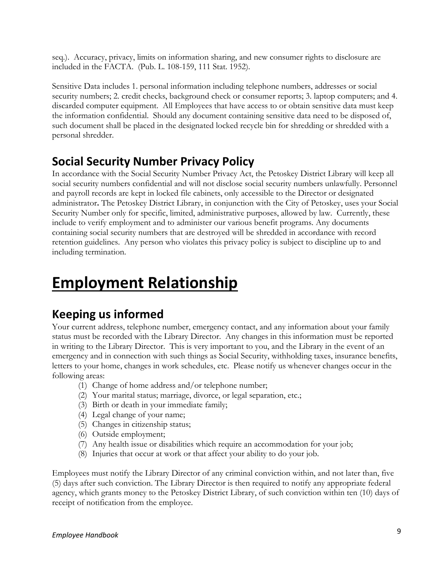seq.). Accuracy, privacy, limits on information sharing, and new consumer rights to disclosure are included in the FACTA. (Pub. L. 108-159, 111 Stat. 1952).

Sensitive Data includes 1. personal information including telephone numbers, addresses or social security numbers; 2. credit checks, background check or consumer reports; 3. laptop computers; and 4. discarded computer equipment. All Employees that have access to or obtain sensitive data must keep the information confidential. Should any document containing sensitive data need to be disposed of, such document shall be placed in the designated locked recycle bin for shredding or shredded with a personal shredder.

#### <span id="page-8-0"></span>**Social Security Number Privacy Policy**

In accordance with the Social Security Number Privacy Act, the Petoskey District Library will keep all social security numbers confidential and will not disclose social security numbers unlawfully. Personnel and payroll records are kept in locked file cabinets, only accessible to the Director or designated administrator**.** The Petoskey District Library, in conjunction with the City of Petoskey, uses your Social Security Number only for specific, limited, administrative purposes, allowed by law. Currently, these include to verify employment and to administer our various benefit programs. Any documents containing social security numbers that are destroyed will be shredded in accordance with record retention guidelines. Any person who violates this privacy policy is subject to discipline up to and including termination.

## <span id="page-8-1"></span>**Employment Relationship**

#### <span id="page-8-2"></span>**Keeping us informed**

Your current address, telephone number, emergency contact, and any information about your family status must be recorded with the Library Director. Any changes in this information must be reported in writing to the Library Director. This is very important to you, and the Library in the event of an emergency and in connection with such things as Social Security, withholding taxes, insurance benefits, letters to your home, changes in work schedules, etc. Please notify us whenever changes occur in the following areas:

- (1) Change of home address and/or telephone number;
- (2) Your marital status; marriage, divorce, or legal separation, etc.;
- (3) Birth or death in your immediate family;
- (4) Legal change of your name;
- (5) Changes in citizenship status;
- (6) Outside employment;
- (7) Any health issue or disabilities which require an accommodation for your job;
- (8) Injuries that occur at work or that affect your ability to do your job.

Employees must notify the Library Director of any criminal conviction within, and not later than, five (5) days after such conviction. The Library Director is then required to notify any appropriate federal agency, which grants money to the Petoskey District Library, of such conviction within ten (10) days of receipt of notification from the employee.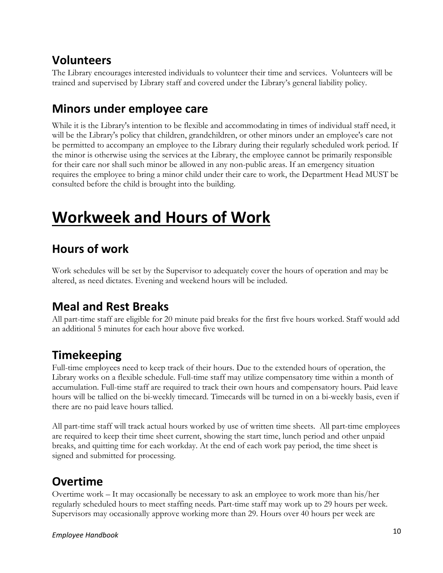#### <span id="page-9-0"></span>**Volunteers**

The Library encourages interested individuals to volunteer their time and services. Volunteers will be trained and supervised by Library staff and covered under the Library's general liability policy.

#### <span id="page-9-1"></span>**Minors under employee care**

While it is the Library's intention to be flexible and accommodating in times of individual staff need, it will be the Library's policy that children, grandchildren, or other minors under an employee's care not be permitted to accompany an employee to the Library during their regularly scheduled work period. If the minor is otherwise using the services at the Library, the employee cannot be primarily responsible for their care nor shall such minor be allowed in any non-public areas. If an emergency situation requires the employee to bring a minor child under their care to work, the Department Head MUST be consulted before the child is brought into the building.

## <span id="page-9-2"></span>**Workweek and Hours of Work**

#### <span id="page-9-3"></span>**Hours of work**

Work schedules will be set by the Supervisor to adequately cover the hours of operation and may be altered, as need dictates. Evening and weekend hours will be included.

#### <span id="page-9-4"></span>**Meal and Rest Breaks**

All part-time staff are eligible for 20 minute paid breaks for the first five hours worked. Staff would add an additional 5 minutes for each hour above five worked.

### <span id="page-9-5"></span>**Timekeeping**

Full-time employees need to keep track of their hours. Due to the extended hours of operation, the Library works on a flexible schedule. Full-time staff may utilize compensatory time within a month of accumulation. Full-time staff are required to track their own hours and compensatory hours. Paid leave hours will be tallied on the bi-weekly timecard. Timecards will be turned in on a bi-weekly basis, even if there are no paid leave hours tallied.

All part-time staff will track actual hours worked by use of written time sheets. All part-time employees are required to keep their time sheet current, showing the start time, lunch period and other unpaid breaks, and quitting time for each workday. At the end of each work pay period, the time sheet is signed and submitted for processing.

### <span id="page-9-6"></span>**Overtime**

Overtime work – It may occasionally be necessary to ask an employee to work more than his/her regularly scheduled hours to meet staffing needs. Part-time staff may work up to 29 hours per week. Supervisors may occasionally approve working more than 29. Hours over 40 hours per week are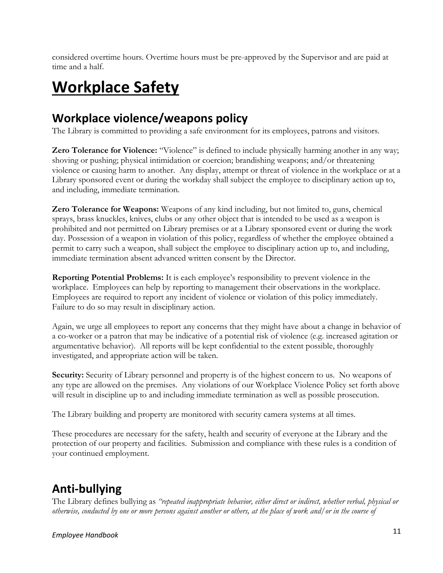considered overtime hours. Overtime hours must be pre-approved by the Supervisor and are paid at time and a half.

# <span id="page-10-0"></span>**Workplace Safety**

#### <span id="page-10-1"></span>**Workplace violence/weapons policy**

The Library is committed to providing a safe environment for its employees, patrons and visitors.

**Zero Tolerance for Violence:** "Violence" is defined to include physically harming another in any way; shoving or pushing; physical intimidation or coercion; brandishing weapons; and/or threatening violence or causing harm to another. Any display, attempt or threat of violence in the workplace or at a Library sponsored event or during the workday shall subject the employee to disciplinary action up to, and including, immediate termination.

**Zero Tolerance for Weapons:** Weapons of any kind including, but not limited to, guns, chemical sprays, brass knuckles, knives, clubs or any other object that is intended to be used as a weapon is prohibited and not permitted on Library premises or at a Library sponsored event or during the work day. Possession of a weapon in violation of this policy, regardless of whether the employee obtained a permit to carry such a weapon, shall subject the employee to disciplinary action up to, and including, immediate termination absent advanced written consent by the Director.

**Reporting Potential Problems:** It is each employee's responsibility to prevent violence in the workplace. Employees can help by reporting to management their observations in the workplace. Employees are required to report any incident of violence or violation of this policy immediately. Failure to do so may result in disciplinary action.

Again, we urge all employees to report any concerns that they might have about a change in behavior of a co-worker or a patron that may be indicative of a potential risk of violence (e.g. increased agitation or argumentative behavior). All reports will be kept confidential to the extent possible, thoroughly investigated, and appropriate action will be taken.

**Security:** Security of Library personnel and property is of the highest concern to us. No weapons of any type are allowed on the premises. Any violations of our Workplace Violence Policy set forth above will result in discipline up to and including immediate termination as well as possible prosecution.

The Library building and property are monitored with security camera systems at all times.

These procedures are necessary for the safety, health and security of everyone at the Library and the protection of our property and facilities. Submission and compliance with these rules is a condition of your continued employment.

### <span id="page-10-2"></span>**Anti-bullying**

The Library defines bullying as *"repeated inappropriate behavior, either direct or indirect, whether verbal, physical or otherwise, conducted by one or more persons against another or others, at the place of work and/or in the course of*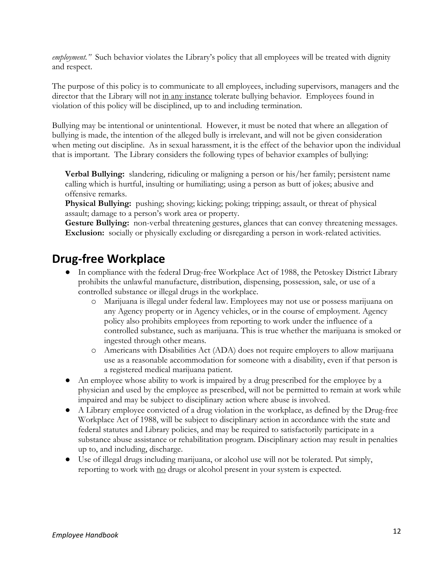*employment."* Such behavior violates the Library's policy that all employees will be treated with dignity and respect.

The purpose of this policy is to communicate to all employees, including supervisors, managers and the director that the Library will not in any instance tolerate bullying behavior. Employees found in violation of this policy will be disciplined, up to and including termination.

Bullying may be intentional or unintentional. However, it must be noted that where an allegation of bullying is made, the intention of the alleged bully is irrelevant, and will not be given consideration when meting out discipline. As in sexual harassment, it is the effect of the behavior upon the individual that is important. The Library considers the following types of behavior examples of bullying:

**Verbal Bullying:** slandering, ridiculing or maligning a person or his/her family; persistent name calling which is hurtful, insulting or humiliating; using a person as butt of jokes; abusive and offensive remarks.

**Physical Bullying:** pushing; shoving; kicking; poking; tripping; assault, or threat of physical assault; damage to a person's work area or property.

Gesture Bullying: non-verbal threatening gestures, glances that can convey threatening messages. **Exclusion:** socially or physically excluding or disregarding a person in work-related activities.

#### <span id="page-11-0"></span>**Drug-free Workplace**

- In compliance with the federal Drug-free Workplace Act of 1988, the Petoskey District Library prohibits the unlawful manufacture, distribution, dispensing, possession, sale, or use of a controlled substance or illegal drugs in the workplace.
	- o Marijuana is illegal under federal law. Employees may not use or possess marijuana on any Agency property or in Agency vehicles, or in the course of employment. Agency policy also prohibits employees from reporting to work under the influence of a controlled substance, such as marijuana. This is true whether the marijuana is smoked or ingested through other means.
	- o Americans with Disabilities Act (ADA) does not require employers to allow marijuana use as a reasonable accommodation for someone with a disability, even if that person is a registered medical marijuana patient.
- An employee whose ability to work is impaired by a drug prescribed for the employee by a physician and used by the employee as prescribed, will not be permitted to remain at work while impaired and may be subject to disciplinary action where abuse is involved.
- A Library employee convicted of a drug violation in the workplace, as defined by the Drug-free Workplace Act of 1988, will be subject to disciplinary action in accordance with the state and federal statutes and Library policies, and may be required to satisfactorily participate in a substance abuse assistance or rehabilitation program. Disciplinary action may result in penalties up to, and including, discharge.
- Use of illegal drugs including marijuana, or alcohol use will not be tolerated. Put simply, reporting to work with no drugs or alcohol present in your system is expected.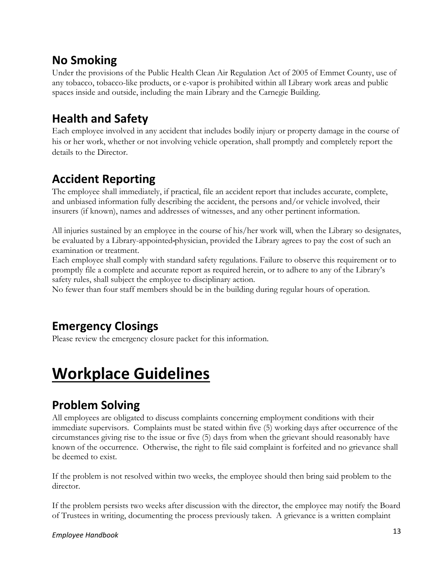#### <span id="page-12-0"></span>**No Smoking**

Under the provisions of the Public Health Clean Air Regulation Act of 2005 of Emmet County, use of any tobacco, tobacco-like products, or e-vapor is prohibited within all Library work areas and public spaces inside and outside, including the main Library and the Carnegie Building.

#### <span id="page-12-1"></span>**Health and Safety**

Each employee involved in any accident that includes bodily injury or property damage in the course of his or her work, whether or not involving vehicle operation, shall promptly and completely report the details to the Director.

#### <span id="page-12-2"></span>**Accident Reporting**

The employee shall immediately, if practical, file an accident report that includes accurate, complete, and unbiased information fully describing the accident, the persons and/or vehicle involved, their insurers (if known), names and addresses of witnesses, and any other pertinent information.

All injuries sustained by an employee in the course of his/her work will, when the Library so designates, be evaluated by a Library-appointed physician, provided the Library agrees to pay the cost of such an examination or treatment.

Each employee shall comply with standard safety regulations. Failure to observe this requirement or to promptly file a complete and accurate report as required herein, or to adhere to any of the Library's safety rules, shall subject the employee to disciplinary action.

No fewer than four staff members should be in the building during regular hours of operation.

#### <span id="page-12-3"></span>**Emergency Closings**

Please review the emergency closure packet for this information.

# <span id="page-12-4"></span>**Workplace Guidelines**

#### <span id="page-12-5"></span>**Problem Solving**

All employees are obligated to discuss complaints concerning employment conditions with their immediate supervisors. Complaints must be stated within five (5) working days after occurrence of the circumstances giving rise to the issue or five (5) days from when the grievant should reasonably have known of the occurrence. Otherwise, the right to file said complaint is forfeited and no grievance shall be deemed to exist.

If the problem is not resolved within two weeks, the employee should then bring said problem to the director.

If the problem persists two weeks after discussion with the director, the employee may notify the Board of Trustees in writing, documenting the process previously taken. A grievance is a written complaint

#### <sup>13</sup> *Employee Handbook*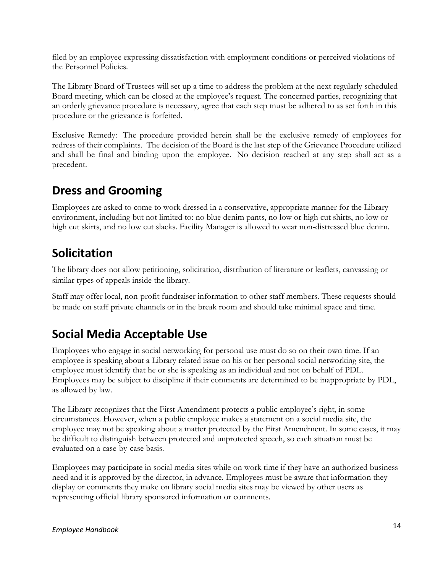filed by an employee expressing dissatisfaction with employment conditions or perceived violations of the Personnel Policies.

The Library Board of Trustees will set up a time to address the problem at the next regularly scheduled Board meeting, which can be closed at the employee's request. The concerned parties, recognizing that an orderly grievance procedure is necessary, agree that each step must be adhered to as set forth in this procedure or the grievance is forfeited.

Exclusive Remedy: The procedure provided herein shall be the exclusive remedy of employees for redress of their complaints. The decision of the Board is the last step of the Grievance Procedure utilized and shall be final and binding upon the employee. No decision reached at any step shall act as a precedent.

#### <span id="page-13-0"></span>**Dress and Grooming**

Employees are asked to come to work dressed in a conservative, appropriate manner for the Library environment, including but not limited to: no blue denim pants, no low or high cut shirts, no low or high cut skirts, and no low cut slacks. Facility Manager is allowed to wear non-distressed blue denim.

### <span id="page-13-1"></span>**Solicitation**

The library does not allow petitioning, solicitation, distribution of literature or leaflets, canvassing or similar types of appeals inside the library.

Staff may offer local, non-profit fundraiser information to other staff members. These requests should be made on staff private channels or in the break room and should take minimal space and time.

### <span id="page-13-2"></span>**Social Media Acceptable Use**

Employees who engage in social networking for personal use must do so on their own time. If an employee is speaking about a Library related issue on his or her personal social networking site, the employee must identify that he or she is speaking as an individual and not on behalf of PDL. Employees may be subject to discipline if their comments are determined to be inappropriate by PDL, as allowed by law.

The Library recognizes that the First Amendment protects a public employee's right, in some circumstances. However, when a public employee makes a statement on a social media site, the employee may not be speaking about a matter protected by the First Amendment. In some cases, it may be difficult to distinguish between protected and unprotected speech, so each situation must be evaluated on a case-by-case basis.

Employees may participate in social media sites while on work time if they have an authorized business need and it is approved by the director, in advance. Employees must be aware that information they display or comments they make on library social media sites may be viewed by other users as representing official library sponsored information or comments.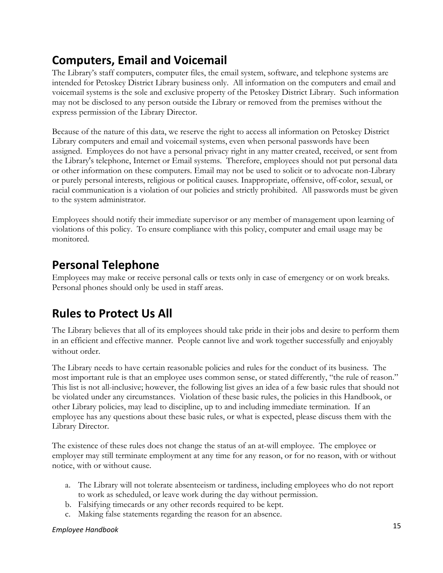#### <span id="page-14-0"></span>**Computers, Email and Voicemail**

The Library's staff computers, computer files, the email system, software, and telephone systems are intended for Petoskey District Library business only. All information on the computers and email and voicemail systems is the sole and exclusive property of the Petoskey District Library. Such information may not be disclosed to any person outside the Library or removed from the premises without the express permission of the Library Director.

Because of the nature of this data, we reserve the right to access all information on Petoskey District Library computers and email and voicemail systems, even when personal passwords have been assigned. Employees do not have a personal privacy right in any matter created, received, or sent from the Library's telephone, Internet or Email systems. Therefore, employees should not put personal data or other information on these computers. Email may not be used to solicit or to advocate non-Library or purely personal interests, religious or political causes. Inappropriate, offensive, off-color, sexual, or racial communication is a violation of our policies and strictly prohibited. All passwords must be given to the system administrator.

Employees should notify their immediate supervisor or any member of management upon learning of violations of this policy. To ensure compliance with this policy, computer and email usage may be monitored.

#### <span id="page-14-1"></span>**Personal Telephone**

Employees may make or receive personal calls or texts only in case of emergency or on work breaks. Personal phones should only be used in staff areas.

### <span id="page-14-2"></span>**Rules to Protect Us All**

The Library believes that all of its employees should take pride in their jobs and desire to perform them in an efficient and effective manner. People cannot live and work together successfully and enjoyably without order.

The Library needs to have certain reasonable policies and rules for the conduct of its business. The most important rule is that an employee uses common sense, or stated differently, "the rule of reason." This list is not all-inclusive; however, the following list gives an idea of a few basic rules that should not be violated under any circumstances. Violation of these basic rules, the policies in this Handbook, or other Library policies, may lead to discipline, up to and including immediate termination. If an employee has any questions about these basic rules, or what is expected, please discuss them with the Library Director.

The existence of these rules does not change the status of an at-will employee. The employee or employer may still terminate employment at any time for any reason, or for no reason, with or without notice, with or without cause.

- a. The Library will not tolerate absenteeism or tardiness, including employees who do not report to work as scheduled, or leave work during the day without permission.
- b. Falsifying timecards or any other records required to be kept.
- c. Making false statements regarding the reason for an absence.

#### <sup>15</sup> *Employee Handbook*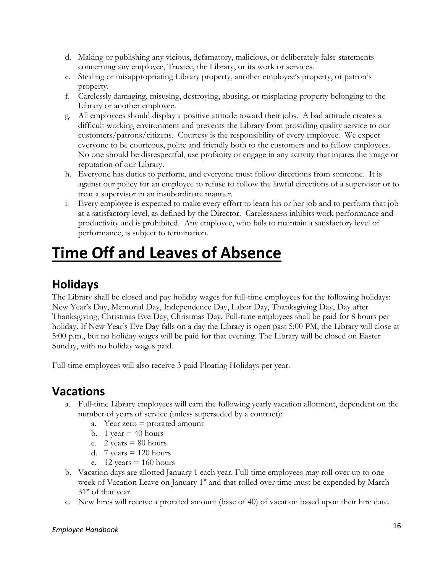- d. Making or publishing any vicious, defamatory, malicious, or deliberately false statements concerning any employee, Trustee, the Library, or its work or services.
- e. Stealing or misappropriating Library property, another employee's property, or patron's property.
- f. Carelessly damaging, misusing, destroying, abusing, or misplacing property belonging to the Library or another employee.
- g. All employees should display a positive attitude toward their jobs. A bad attitude creates a difficult working environment and prevents the Library from providing quality service to our customers/patrons/citizens. Courtesy is the responsibility of every employee. We expect everyone to be courteous, polite and friendly both to the customers and to fellow employees. No one should be disrespectful, use profanity or engage in any activity that injures the image or reputation of our Library.
- h. Everyone has duties to perform, and everyone must follow directions from someone. It is against our policy for an employee to refuse to follow the lawful directions of a supervisor or to treat a supervisor in an insubordinate manner.
- i. Every employee is expected to make every effort to learn his or her job and to perform that job at a satisfactory level, as defined by the Director. Carelessness inhibits work performance and productivity and is prohibited. Any employee, who fails to maintain a satisfactory level of performance, is subject to termination.

## <span id="page-15-0"></span>**Time Off and Leaves of Absence**

### <span id="page-15-1"></span>**Holidays**

The Library shall be closed and pay holiday wages for full-time employees for the following holidays: New Year's Day, Memorial Day, Independence Day, Labor Day, Thanksgiving Day, Day after Thanksgiving, Christmas Eve Day, Christmas Day. Full-time employees shall be paid for 8 hours per holiday. If New Year's Eve Day falls on a day the Library is open past 5:00 PM, the Library will close at 5:00 p.m., but no holiday wages will be paid for that evening. The Library will be closed on Easter Sunday, with no holiday wages paid.

<span id="page-15-2"></span>Full-time employees will also receive 3 paid Floating Holidays per year.

#### **Vacations**

- a. Full-time Library employees will earn the following yearly vacation allotment, dependent on the number of years of service (unless superseded by a contract):
	- a. Year zero = prorated amount
	- b. 1 year  $=$  40 hours
	- c. 2 years  $= 80$  hours
	- d. 7 years  $= 120$  hours
	- e.  $12 \text{ years} = 160 \text{ hours}$
- b. Vacation days are allotted January 1 each year. Full-time employees may roll over up to one week of Vacation Leave on January 1<sup>st</sup> and that rolled over time must be expended by March  $31<sup>st</sup>$  of that year.
- c. New hires will receive a prorated amount (base of 40) of vacation based upon their hire date.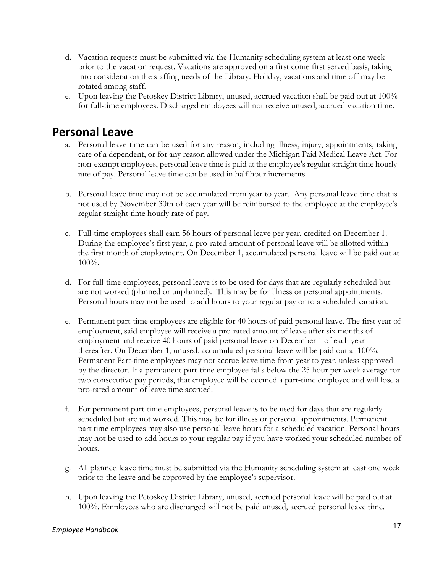- d. Vacation requests must be submitted via the Humanity scheduling system at least one week prior to the vacation request. Vacations are approved on a first come first served basis, taking into consideration the staffing needs of the Library. Holiday, vacations and time off may be rotated among staff.
- e. Upon leaving the Petoskey District Library, unused, accrued vacation shall be paid out at 100% for full-time employees. Discharged employees will not receive unused, accrued vacation time.

#### <span id="page-16-0"></span>**Personal Leave**

- a. Personal leave time can be used for any reason, including illness, injury, appointments, taking care of a dependent, or for any reason allowed under the Michigan Paid Medical Leave Act. For non-exempt employees, personal leave time is paid at the employee's regular straight time hourly rate of pay. Personal leave time can be used in half hour increments.
- b. Personal leave time may not be accumulated from year to year. Any personal leave time that is not used by November 30th of each year will be reimbursed to the employee at the employee's regular straight time hourly rate of pay.
- c. Full-time employees shall earn 56 hours of personal leave per year, credited on December 1. During the employee's first year, a pro-rated amount of personal leave will be allotted within the first month of employment. On December 1, accumulated personal leave will be paid out at 100%.
- d. For full-time employees, personal leave is to be used for days that are regularly scheduled but are not worked (planned or unplanned). This may be for illness or personal appointments. Personal hours may not be used to add hours to your regular pay or to a scheduled vacation.
- e. Permanent part-time employees are eligible for 40 hours of paid personal leave. The first year of employment, said employee will receive a pro-rated amount of leave after six months of employment and receive 40 hours of paid personal leave on December 1 of each year thereafter. On December 1, unused, accumulated personal leave will be paid out at 100%. Permanent Part-time employees may not accrue leave time from year to year, unless approved by the director. If a permanent part-time employee falls below the 25 hour per week average for two consecutive pay periods, that employee will be deemed a part-time employee and will lose a pro-rated amount of leave time accrued.
- f. For permanent part-time employees, personal leave is to be used for days that are regularly scheduled but are not worked. This may be for illness or personal appointments. Permanent part time employees may also use personal leave hours for a scheduled vacation. Personal hours may not be used to add hours to your regular pay if you have worked your scheduled number of hours.
- g. All planned leave time must be submitted via the Humanity scheduling system at least one week prior to the leave and be approved by the employee's supervisor.
- h. Upon leaving the Petoskey District Library, unused, accrued personal leave will be paid out at 100%. Employees who are discharged will not be paid unused, accrued personal leave time.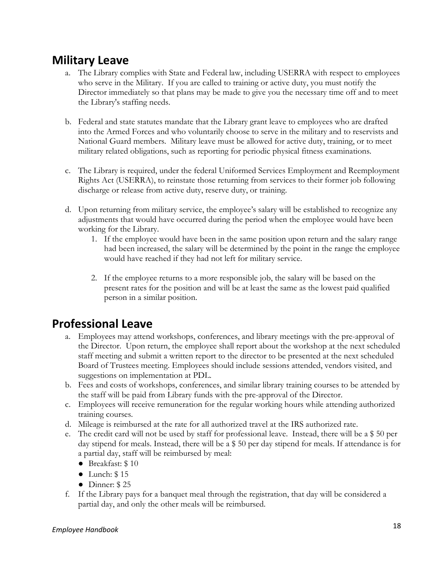#### <span id="page-17-0"></span>**Military Leave**

- a. The Library complies with State and Federal law, including USERRA with respect to employees who serve in the Military. If you are called to training or active duty, you must notify the Director immediately so that plans may be made to give you the necessary time off and to meet the Library's staffing needs.
- b. Federal and state statutes mandate that the Library grant leave to employees who are drafted into the Armed Forces and who voluntarily choose to serve in the military and to reservists and National Guard members. Military leave must be allowed for active duty, training, or to meet military related obligations, such as reporting for periodic physical fitness examinations.
- c. The Library is required, under the federal Uniformed Services Employment and Reemployment Rights Act (USERRA), to reinstate those returning from services to their former job following discharge or release from active duty, reserve duty, or training.
- d. Upon returning from military service, the employee's salary will be established to recognize any adjustments that would have occurred during the period when the employee would have been working for the Library.
	- 1. If the employee would have been in the same position upon return and the salary range had been increased, the salary will be determined by the point in the range the employee would have reached if they had not left for military service.
	- 2. If the employee returns to a more responsible job, the salary will be based on the present rates for the position and will be at least the same as the lowest paid qualified person in a similar position.

#### <span id="page-17-1"></span>**Professional Leave**

- a. Employees may attend workshops, conferences, and library meetings with the pre-approval of the Director. Upon return, the employee shall report about the workshop at the next scheduled staff meeting and submit a written report to the director to be presented at the next scheduled Board of Trustees meeting. Employees should include sessions attended, vendors visited, and suggestions on implementation at PDL.
- b. Fees and costs of workshops, conferences, and similar library training courses to be attended by the staff will be paid from Library funds with the pre-approval of the Director.
- c. Employees will receive remuneration for the regular working hours while attending authorized training courses.
- d. Mileage is reimbursed at the rate for all authorized travel at the IRS authorized rate.
- e. The credit card will not be used by staff for professional leave. Instead, there will be a \$ 50 per day stipend for meals. Instead, there will be a \$ 50 per day stipend for meals. If attendance is for a partial day, staff will be reimbursed by meal:
	- Breakfast: \$10
	- Lunch: \$ 15
	- $\bullet$  Dinner: \$25
- f. If the Library pays for a banquet meal through the registration, that day will be considered a partial day, and only the other meals will be reimbursed.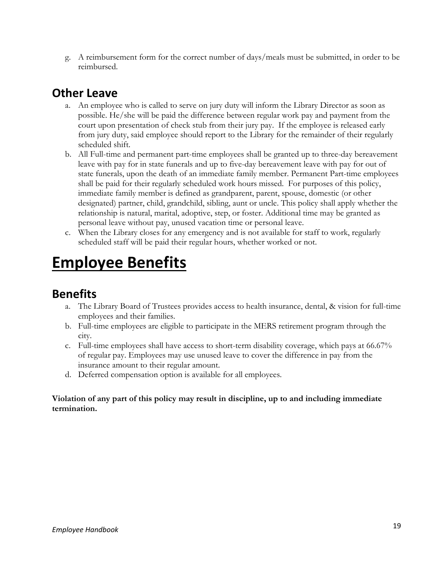g. A reimbursement form for the correct number of days/meals must be submitted, in order to be reimbursed.

#### <span id="page-18-0"></span>**Other Leave**

- a. An employee who is called to serve on jury duty will inform the Library Director as soon as possible. He/she will be paid the difference between regular work pay and payment from the court upon presentation of check stub from their jury pay. If the employee is released early from jury duty, said employee should report to the Library for the remainder of their regularly scheduled shift.
- b. All Full-time and permanent part-time employees shall be granted up to three-day bereavement leave with pay for in state funerals and up to five-day bereavement leave with pay for out of state funerals, upon the death of an immediate family member. Permanent Part-time employees shall be paid for their regularly scheduled work hours missed. For purposes of this policy, immediate family member is defined as grandparent, parent, spouse, domestic (or other designated) partner, child, grandchild, sibling, aunt or uncle. This policy shall apply whether the relationship is natural, marital, adoptive, step, or foster. Additional time may be granted as personal leave without pay, unused vacation time or personal leave.
- c. When the Library closes for any emergency and is not available for staff to work, regularly scheduled staff will be paid their regular hours, whether worked or not.

# <span id="page-18-1"></span>**Employee Benefits**

#### <span id="page-18-2"></span>**Benefits**

- a. The Library Board of Trustees provides access to health insurance, dental, & vision for full-time employees and their families.
- b. Full-time employees are eligible to participate in the MERS retirement program through the city.
- c. Full-time employees shall have access to short-term disability coverage, which pays at 66.67% of regular pay. Employees may use unused leave to cover the difference in pay from the insurance amount to their regular amount.
- d. Deferred compensation option is available for all employees.

#### **Violation of any part of this policy may result in discipline, up to and including immediate termination.**